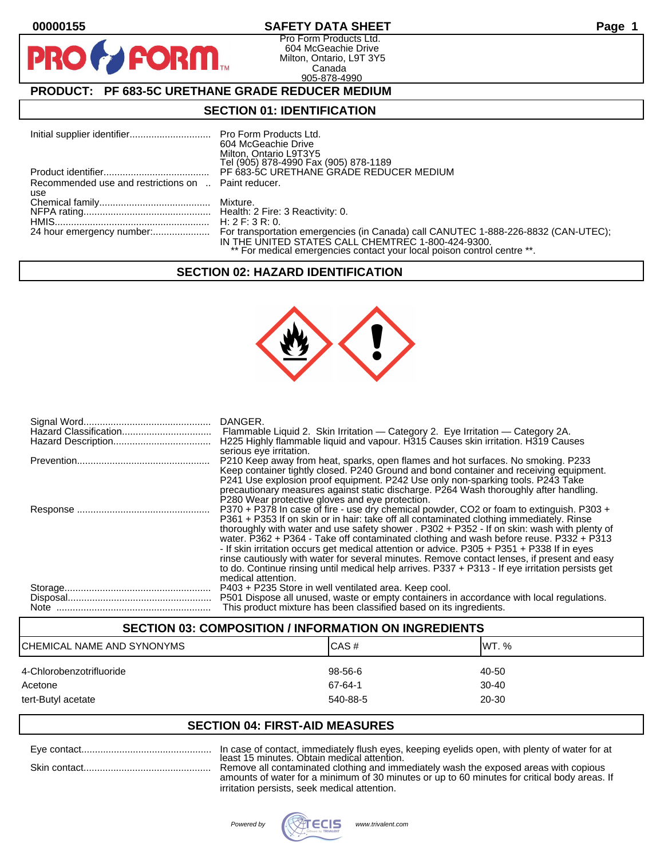D

### **00000155 SAFETY DATA SHEET Page 1**

Pro Form Products Ltd. 604 McGeachie Drive Milton, Ontario, L9T 3Y5 Canada 905-878-4990

# **PRODUCT: PF 683-5C URETHANE GRADE REDUCER MEDIUM**

**FORM.** 

### **SECTION 01: IDENTIFICATION**

|                                                     | 604 McGeachie Drive<br>Milton, Ontario L9T3Y5<br>Tel (905) 878-4990 Fax (905) 878-1189                                        |
|-----------------------------------------------------|-------------------------------------------------------------------------------------------------------------------------------|
|                                                     | PF 683-5C URETHANE GRADE REDUCER MEDIUM                                                                                       |
| Recommended use and restrictions on  Paint reducer. |                                                                                                                               |
| use                                                 |                                                                                                                               |
|                                                     |                                                                                                                               |
|                                                     |                                                                                                                               |
|                                                     |                                                                                                                               |
|                                                     | IN THE UNITED STATES CALL CHEMTREC 1-800-424-9300.<br>** For medical emergencies contact your local poison control centre **. |

### **SECTION 02: HAZARD IDENTIFICATION**



|      | H225 Highly flammable liquid and vapour. H315 Causes skin irritation. H319 Causes<br>serious eye irritation.                                                                                                                                                                                                                                                                                                                                                                                                                                                                                                                                                                                         |
|------|------------------------------------------------------------------------------------------------------------------------------------------------------------------------------------------------------------------------------------------------------------------------------------------------------------------------------------------------------------------------------------------------------------------------------------------------------------------------------------------------------------------------------------------------------------------------------------------------------------------------------------------------------------------------------------------------------|
|      | P210 Keep away from heat, sparks, open flames and hot surfaces. No smoking. P233<br>Keep container tightly closed. P240 Ground and bond container and receiving equipment.<br>P241 Use explosion proof equipment. P242 Use only non-sparking tools. P243 Take<br>precautionary measures against static discharge. P264 Wash thoroughly after handling.<br>P280 Wear protective gloves and eye protection.                                                                                                                                                                                                                                                                                            |
|      | P370 + P378 In case of fire - use dry chemical powder, CO2 or foam to extinguish. P303 +<br>P361 + P353 If on skin or in hair: take off all contaminated clothing immediately. Rinse<br>thoroughly with water and use safety shower . P302 + P352 - If on skin: wash with plenty of<br>water. P362 + P364 - Take off contaminated clothing and wash before reuse. P332 + P313<br>- If skin irritation occurs get medical attention or advice. P305 + P351 + P338 If in eyes<br>rinse cautiously with water for several minutes. Remove contact lenses, if present and easy<br>to do. Continue rinsing until medical help arrives. P337 + P313 - If eye irritation persists get<br>medical attention. |
| Note | P403 + P235 Store in well ventilated area. Keep cool.<br>P501 Dispose all unused, waste or empty containers in accordance with local regulations.<br>This product mixture has been classified based on its ingredients.                                                                                                                                                                                                                                                                                                                                                                                                                                                                              |

### **SECTION 03: COMPOSITION / INFORMATION ON INGREDIENTS**

| ICHEMICAL NAME AND SYNONYMS | CAS#     | IWT. %    |
|-----------------------------|----------|-----------|
| 4-Chlorobenzotrifluoride    | 98-56-6  | 40-50     |
| Acetone                     | 67-64-1  | $30 - 40$ |
| tert-Butyl acetate          | 540-88-5 | 20-30     |

### **SECTION 04: FIRST-AID MEASURES**

| Eve contact  | In case of contact, immediately flush eyes, keeping eyelids open, with plenty of water for at                                       |
|--------------|-------------------------------------------------------------------------------------------------------------------------------------|
| Skin contact | least 15 minutes. Obtain medical attention.<br>Remove all contaminated clothing and immediately wash the exposed areas with copious |
|              | amounts of water for a minimum of 30 minutes or up to 60 minutes for critical body areas. If                                        |

amounts of water for a minimum of 30 minutes or up to 60 minutes for critical body areas. If irritation persists, seek medical attention.

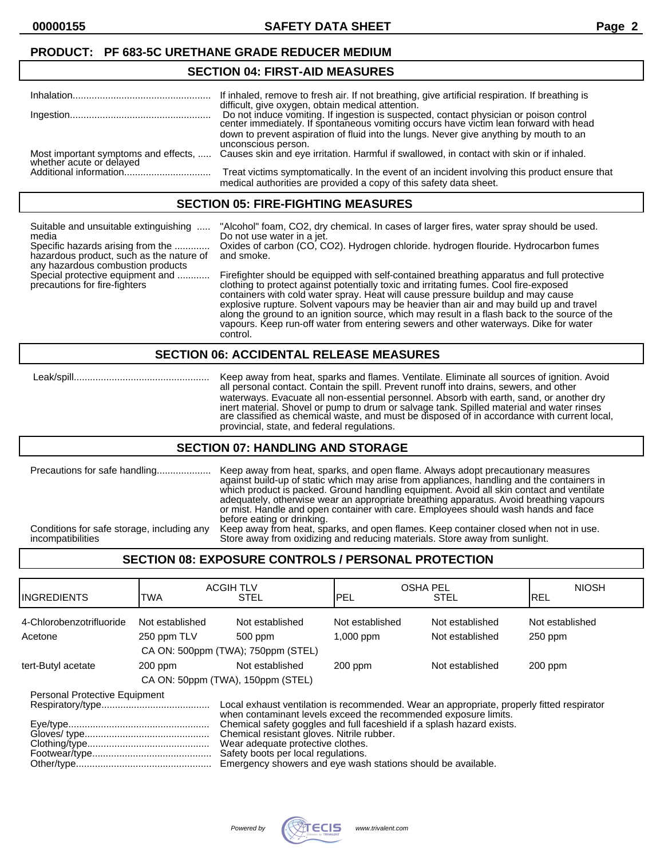#### **SECTION 04: FIRST-AID MEASURES**

|                                                                  | If inhaled, remove to fresh air. If not breathing, give artificial respiration. If breathing is                                                                                                                                   |
|------------------------------------------------------------------|-----------------------------------------------------------------------------------------------------------------------------------------------------------------------------------------------------------------------------------|
|                                                                  | difficult, give oxygen, obtain medical attention.<br>Do not induce vomiting. If ingestion is suspected, contact physician or poison control center immediately. If spontaneous vomiting occurs have victim lean forward with head |
|                                                                  | down to prevent aspiration of fluid into the lungs. Never give anything by mouth to an<br>unconscious person.                                                                                                                     |
| Most important symptoms and effects,<br>whether acute or delayed | Causes skin and eye irritation. Harmful if swallowed, in contact with skin or if inhaled.                                                                                                                                         |
|                                                                  | Treat victims symptomatically. In the event of an incident involving this product ensure that<br>medical authorities are provided a copy of this safety data sheet.                                                               |

#### **SECTION 05: FIRE-FIGHTING MEASURES**

| Suitable and unsuitable extinguishing<br>media<br>Specific hazards arising from the<br>hazardous product, such as the nature of<br>any hazardous combustion products<br>Special protective equipment and<br>precautions for fire-fighters | "Alcohol" foam, CO2, dry chemical. In cases of larger fires, water spray should be used.<br>Do not use water in a jet.<br>Oxides of carbon (CO, CO2). Hydrogen chloride. hydrogen flouride. Hydrocarbon fumes<br>and smoke.                                                                                                                                                                                                                                                                                                                                            |
|-------------------------------------------------------------------------------------------------------------------------------------------------------------------------------------------------------------------------------------------|------------------------------------------------------------------------------------------------------------------------------------------------------------------------------------------------------------------------------------------------------------------------------------------------------------------------------------------------------------------------------------------------------------------------------------------------------------------------------------------------------------------------------------------------------------------------|
|                                                                                                                                                                                                                                           | Firefighter should be equipped with self-contained breathing apparatus and full protective<br>clothing to protect against potentially toxic and irritating fumes. Cool fire-exposed<br>containers with cold water spray. Heat will cause pressure buildup and may cause<br>explosive rupture. Solvent vapours may be heavier than air and may build up and travel<br>along the ground to an ignition source, which may result in a flash back to the source of the<br>vapours. Keep run-off water from entering sewers and other waterways. Dike for water<br>control. |
| <b>SECTION 06: ACCIDENTAL RELEASE MEASURES</b>                                                                                                                                                                                            |                                                                                                                                                                                                                                                                                                                                                                                                                                                                                                                                                                        |

 Leak/spill.................................................. Keep away from heat, sparks and flames. Ventilate. Eliminate all sources of ignition. Avoid all personal contact. Contain the spill. Prevent runoff into drains, sewers, and other waterways. Evacuate all non-essential personnel. Absorb with earth, sand, or another dry inert material. Shovel or pump to drum or salvage tank. Spilled material and water rinses are classified as chemical waste, and must be disposed of in accordance with current local, provincial, state, and federal regulations.

#### **SECTION 07: HANDLING AND STORAGE**

| Precautions for safe handling              | Keep away from heat, sparks, and open flame. Always adopt precautionary measures<br>against build-up of static which may arise from appliances, handling and the containers in<br>which product is packed. Ground handling equipment. Avoid all skin contact and ventilate<br>adequately, otherwise wear an appropriate breathing apparatus. Avoid breathing vapours<br>or mist. Handle and open container with care. Employees should wash hands and face<br>before eating or drinking. |
|--------------------------------------------|------------------------------------------------------------------------------------------------------------------------------------------------------------------------------------------------------------------------------------------------------------------------------------------------------------------------------------------------------------------------------------------------------------------------------------------------------------------------------------------|
| Conditions for safe storage, including any | Keep away from heat, sparks, and open flames. Keep container closed when not in use.                                                                                                                                                                                                                                                                                                                                                                                                     |
| incompatibilities                          | Store away from oxidizing and reducing materials. Store away from sunlight.                                                                                                                                                                                                                                                                                                                                                                                                              |

## **SECTION 08: EXPOSURE CONTROLS / PERSONAL PROTECTION**

| <b>IINGREDIENTS</b>                  | <b>TWA</b>                         | <b>ACGIH TLV</b><br><b>STEL</b>                                                                                                                                                                                                                                                                                                                                                                                                  | <b>OSHA PEL</b><br>IPEL | <b>STEL</b>     | <b>NIOSH</b><br>IREL |
|--------------------------------------|------------------------------------|----------------------------------------------------------------------------------------------------------------------------------------------------------------------------------------------------------------------------------------------------------------------------------------------------------------------------------------------------------------------------------------------------------------------------------|-------------------------|-----------------|----------------------|
| 4-Chlorobenzotrifluoride             | Not established                    | Not established                                                                                                                                                                                                                                                                                                                                                                                                                  | Not established         | Not established | Not established      |
| Acetone                              | 250 ppm TLV                        | 500 ppm                                                                                                                                                                                                                                                                                                                                                                                                                          | $1,000$ ppm             | Not established | $250$ ppm            |
|                                      | CA ON: 500ppm (TWA); 750ppm (STEL) |                                                                                                                                                                                                                                                                                                                                                                                                                                  |                         |                 |                      |
| tert-Butyl acetate                   | $200$ ppm                          | Not established                                                                                                                                                                                                                                                                                                                                                                                                                  | $200$ ppm               | Not established | $200$ ppm            |
|                                      | CA ON: 50ppm (TWA), 150ppm (STEL)  |                                                                                                                                                                                                                                                                                                                                                                                                                                  |                         |                 |                      |
| <b>Personal Protective Equipment</b> |                                    | Local exhaust ventilation is recommended. Wear an appropriate, properly fitted respirator<br>when contaminant levels exceed the recommended exposure limits.<br>Chemical safety goggles and full faceshield if a splash hazard exists.<br>Chemical resistant gloves. Nitrile rubber.<br>Wear adequate protective clothes.<br>Safety boots per local regulations.<br>Emergency showers and eye wash stations should be available. |                         |                 |                      |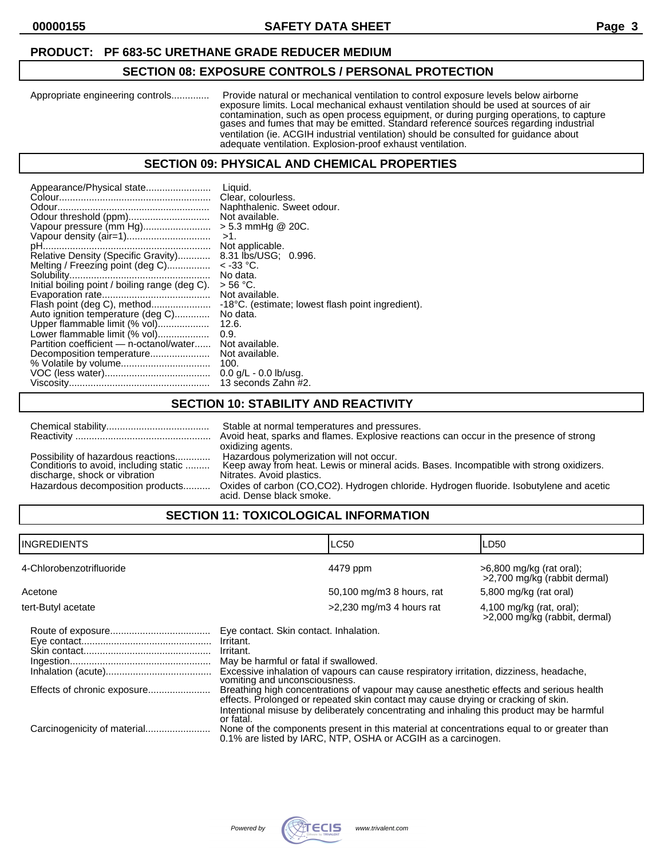# **PRODUCT: PF 683-5C URETHANE GRADE REDUCER MEDIUM**

# **SECTION 08: EXPOSURE CONTROLS / PERSONAL PROTECTION**

Appropriate engineering controls.............. Provide natural or mechanical ventilation to control exposure levels below airborne exposure limits. Local mechanical exhaust ventilation should be used at sources of air contamination, such as open process equipment, or during purging operations, to capture gases and fumes that may be emitted. Standard reference sources regarding industrial ventilation (ie. ACGIH industrial ventilation) should be consulted for guidance about adequate ventilation. Explosion-proof exhaust ventilation.

# **SECTION 09: PHYSICAL AND CHEMICAL PROPERTIES**

# **SECTION 10: STABILITY AND REACTIVITY**

|                                                                             | Stable at normal temperatures and pressures.                                                                                        |
|-----------------------------------------------------------------------------|-------------------------------------------------------------------------------------------------------------------------------------|
|                                                                             | Avoid heat, sparks and flames. Explosive reactions can occur in the presence of strong                                              |
|                                                                             | oxidizing agents.                                                                                                                   |
| Possibility of hazardous reactions<br>Conditions to avoid, including static | Hazardous polymerization will not occur.<br>Keep away from heat. Lewis or mineral acids. Bases. Incompatible with strong oxidizers. |
| discharge, shock or vibration                                               | Nitrates. Avoid plastics.                                                                                                           |
| Hazardous decomposition products                                            | Oxides of carbon (CO,CO2). Hydrogen chloride. Hydrogen fluoride. Isobutylene and acetic<br>acid. Dense black smoke.                 |

# **SECTION 11: TOXICOLOGICAL INFORMATION**

| <b>INGREDIENTS</b>       |                                                                                                                                                                                                                                                                                                                                                                                                                                                                                                                                | <b>LC50</b>                                                                                                                                                | LD50                                                        |
|--------------------------|--------------------------------------------------------------------------------------------------------------------------------------------------------------------------------------------------------------------------------------------------------------------------------------------------------------------------------------------------------------------------------------------------------------------------------------------------------------------------------------------------------------------------------|------------------------------------------------------------------------------------------------------------------------------------------------------------|-------------------------------------------------------------|
| 4-Chlorobenzotrifluoride |                                                                                                                                                                                                                                                                                                                                                                                                                                                                                                                                | 4479 ppm                                                                                                                                                   | $>6,800$ mg/kg (rat oral);<br>>2,700 mg/kg (rabbit dermal)  |
| Acetone                  |                                                                                                                                                                                                                                                                                                                                                                                                                                                                                                                                | 50,100 mg/m3 8 hours, rat                                                                                                                                  | 5,800 mg/kg (rat oral)                                      |
| tert-Butyl acetate       |                                                                                                                                                                                                                                                                                                                                                                                                                                                                                                                                | $>2,230$ mg/m3 4 hours rat                                                                                                                                 | $4,100$ mg/kg (rat, oral);<br>>2,000 mg/kg (rabbit, dermal) |
|                          | Eye contact. Skin contact. Inhalation.<br>Irritant.<br>Irritant.<br>May be harmful or fatal if swallowed.<br>Excessive inhalation of vapours can cause respiratory irritation, dizziness, headache,<br>vomiting and unconsciousness.<br>Breathing high concentrations of vapour may cause anesthetic effects and serious health<br>effects. Prolonged or repeated skin contact may cause drying or cracking of skin.<br>Intentional misuse by deliberately concentrating and inhaling this product may be harmful<br>or fatal. |                                                                                                                                                            |                                                             |
|                          |                                                                                                                                                                                                                                                                                                                                                                                                                                                                                                                                | None of the components present in this material at concentrations equal to or greater than<br>0.1% are listed by IARC, NTP, OSHA or ACGIH as a carcinogen. |                                                             |